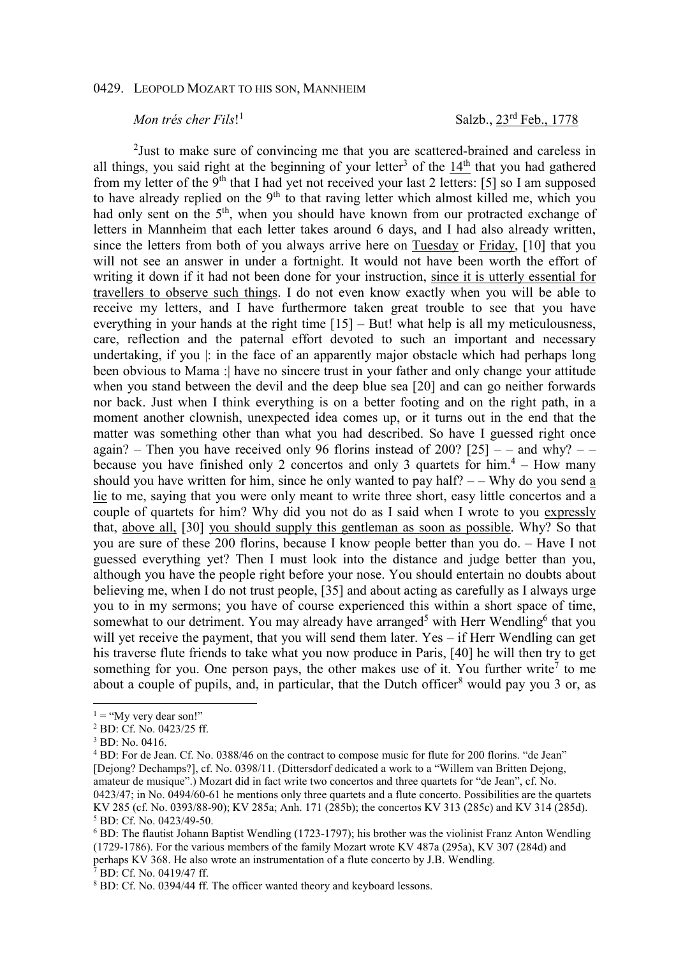## 0429. LEOPOLD MOZART TO HIS SON, MANNHEIM

## *Mon trés cher Fils*! 1

Salzb., 23rd Feb., 1778

<sup>2</sup>Just to make sure of convincing me that you are scattered-brained and careless in all things, you said right at the beginning of your letter<sup>3</sup> of the  $14<sup>th</sup>$  that you had gathered from my letter of the 9<sup>th</sup> that I had yet not received your last 2 letters: [5] so I am supposed to have already replied on the  $9<sup>th</sup>$  to that raving letter which almost killed me, which you had only sent on the 5<sup>th</sup>, when you should have known from our protracted exchange of letters in Mannheim that each letter takes around 6 days, and I had also already written, since the letters from both of you always arrive here on Tuesday or Friday, [10] that you will not see an answer in under a fortnight. It would not have been worth the effort of writing it down if it had not been done for your instruction, since it is utterly essential for travellers to observe such things. I do not even know exactly when you will be able to receive my letters, and I have furthermore taken great trouble to see that you have everything in your hands at the right time [15] – But! what help is all my meticulousness, care, reflection and the paternal effort devoted to such an important and necessary undertaking, if you |: in the face of an apparently major obstacle which had perhaps long been obvious to Mama : have no sincere trust in your father and only change your attitude when you stand between the devil and the deep blue sea [20] and can go neither forwards nor back. Just when I think everything is on a better footing and on the right path, in a moment another clownish, unexpected idea comes up, or it turns out in the end that the matter was something other than what you had described. So have I guessed right once again? – Then you have received only 96 florins instead of 200?  $[25]$  – – and why? – – because you have finished only 2 concertos and only 3 quartets for  $him.4 - How many$ should you have written for him, since he only wanted to pay half?  $-$  – Why do you send a lie to me, saying that you were only meant to write three short, easy little concertos and a couple of quartets for him? Why did you not do as I said when I wrote to you expressly that, above all, [30] you should supply this gentleman as soon as possible. Why? So that you are sure of these 200 florins, because I know people better than you do. – Have I not guessed everything yet? Then I must look into the distance and judge better than you, although you have the people right before your nose. You should entertain no doubts about believing me, when I do not trust people, [35] and about acting as carefully as I always urge you to in my sermons; you have of course experienced this within a short space of time, somewhat to our detriment. You may already have arranged<sup>5</sup> with Herr Wendling<sup>6</sup> that you will yet receive the payment, that you will send them later. Yes – if Herr Wendling can get his traverse flute friends to take what you now produce in Paris, [40] he will then try to get something for you. One person pays, the other makes use of it. You further write<sup>7</sup> to me about a couple of pupils, and, in particular, that the Dutch officer<sup>8</sup> would pay you 3 or, as

 $\overline{a}$ 

7 BD: Cf. No. 0419/47 ff.

 $1 = "My very dear son!"$ 

<sup>2</sup> BD: Cf. No. 0423/25 ff.

<sup>3</sup> BD: No. 0416.

<sup>&</sup>lt;sup>4</sup> BD: For de Jean. Cf. No. 0388/46 on the contract to compose music for flute for 200 florins. "de Jean" [Dejong? Dechamps?], cf. No. 0398/11. (Dittersdorf dedicated a work to a "Willem van Britten Dejong, amateur de musique".) Mozart did in fact write two concertos and three quartets for "de Jean", cf. No. 0423/47; in No. 0494/60-61 he mentions only three quartets and a flute concerto. Possibilities are the quartets KV 285 (cf. No. 0393/88-90); KV 285a; Anh. 171 (285b); the concertos KV 313 (285c) and KV 314 (285d). 5 BD: Cf. No. 0423/49-50.

<sup>&</sup>lt;sup>6</sup> BD: The flautist Johann Baptist Wendling (1723-1797); his brother was the violinist Franz Anton Wendling (1729-1786). For the various members of the family Mozart wrote KV 487a (295a), KV 307 (284d) and perhaps KV 368. He also wrote an instrumentation of a flute concerto by J.B. Wendling.

<sup>&</sup>lt;sup>8</sup> BD: Cf. No. 0394/44 ff. The officer wanted theory and keyboard lessons.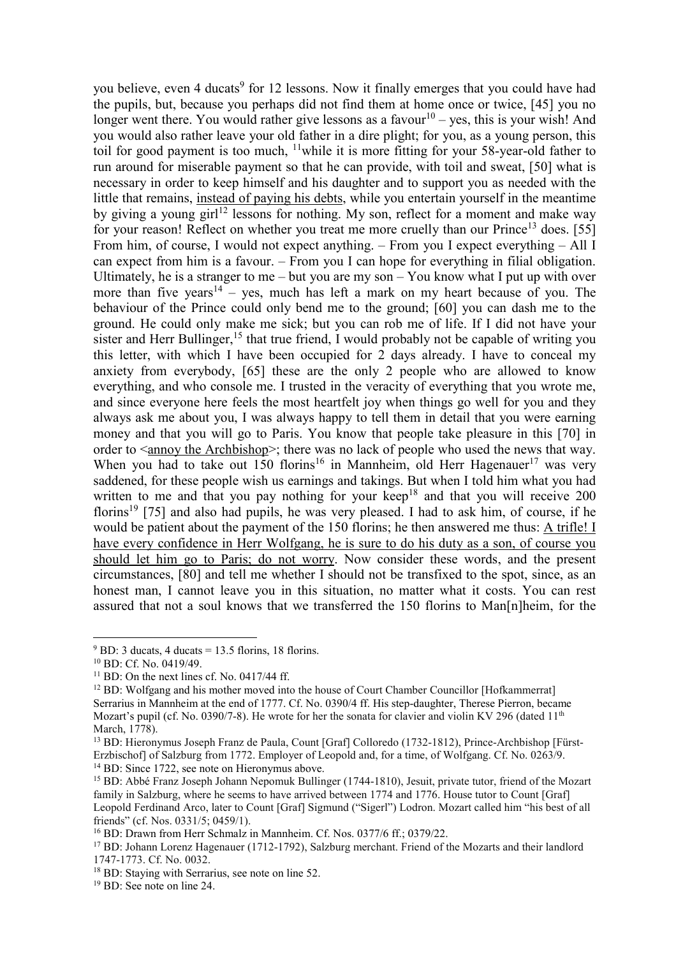you believe, even 4 ducats<sup>9</sup> for 12 lessons. Now it finally emerges that you could have had the pupils, but, because you perhaps did not find them at home once or twice, [45] you no longer went there. You would rather give lessons as a favour<sup>10</sup> – yes, this is your wish! And you would also rather leave your old father in a dire plight; for you, as a young person, this toil for good payment is too much, <sup>11</sup>while it is more fitting for your 58-year-old father to run around for miserable payment so that he can provide, with toil and sweat, [50] what is necessary in order to keep himself and his daughter and to support you as needed with the little that remains, instead of paying his debts, while you entertain yourself in the meantime by giving a young girl<sup>12</sup> lessons for nothing. My son, reflect for a moment and make way for your reason! Reflect on whether you treat me more cruelly than our  $\text{Prince}^{13}$  does. [55] From him, of course, I would not expect anything. – From you I expect everything – All I can expect from him is a favour. – From you I can hope for everything in filial obligation. Ultimately, he is a stranger to me – but you are my son – You know what I put up with over more than five years<sup>14</sup> – yes, much has left a mark on my heart because of you. The behaviour of the Prince could only bend me to the ground; [60] you can dash me to the ground. He could only make me sick; but you can rob me of life. If I did not have your sister and Herr Bullinger,<sup>15</sup> that true friend, I would probably not be capable of writing you this letter, with which I have been occupied for 2 days already. I have to conceal my anxiety from everybody, [65] these are the only 2 people who are allowed to know everything, and who console me. I trusted in the veracity of everything that you wrote me, and since everyone here feels the most heartfelt joy when things go well for you and they always ask me about you, I was always happy to tell them in detail that you were earning money and that you will go to Paris. You know that people take pleasure in this [70] in order to <annoy the Archbishop>; there was no lack of people who used the news that way. When you had to take out 150 florins<sup>16</sup> in Mannheim, old Herr Hagenauer<sup>17</sup> was very saddened, for these people wish us earnings and takings. But when I told him what you had written to me and that you pay nothing for your keep<sup>18</sup> and that you will receive 200 florins<sup>19</sup> [75] and also had pupils, he was very pleased. I had to ask him, of course, if he would be patient about the payment of the 150 florins; he then answered me thus: A trifle! I have every confidence in Herr Wolfgang, he is sure to do his duty as a son, of course you should let him go to Paris; do not worry. Now consider these words, and the present circumstances, [80] and tell me whether I should not be transfixed to the spot, since, as an honest man, I cannot leave you in this situation, no matter what it costs. You can rest assured that not a soul knows that we transferred the 150 florins to Man[n]heim, for the

 $\overline{a}$ 

 $9$  BD: 3 ducats, 4 ducats = 13.5 florins, 18 florins.

<sup>10</sup> BD: Cf. No. 0419/49.

 $11$  BD: On the next lines cf. No. 0417/44 ff.

<sup>&</sup>lt;sup>12</sup> BD: Wolfgang and his mother moved into the house of Court Chamber Councillor [Hofkammerrat] Serrarius in Mannheim at the end of 1777. Cf. No. 0390/4 ff. His step-daughter, Therese Pierron, became Mozart's pupil (cf. No. 0390/7-8). He wrote for her the sonata for clavier and violin KV 296 (dated 11<sup>th</sup> March, 1778).

<sup>13</sup> BD: Hieronymus Joseph Franz de Paula, Count [Graf] Colloredo (1732-1812), Prince-Archbishop [Fürst-Erzbischof] of Salzburg from 1772. Employer of Leopold and, for a time, of Wolfgang. Cf. No. 0263/9. <sup>14</sup> BD: Since 1722, see note on Hieronymus above.

<sup>15</sup> BD: Abbé Franz Joseph Johann Nepomuk Bullinger (1744-1810), Jesuit, private tutor, friend of the Mozart family in Salzburg, where he seems to have arrived between 1774 and 1776. House tutor to Count [Graf] Leopold Ferdinand Arco, later to Count [Graf] Sigmund ("Sigerl") Lodron. Mozart called him "his best of all friends" (cf. Nos. 0331/5; 0459/1).

<sup>&</sup>lt;sup>16</sup> BD: Drawn from Herr Schmalz in Mannheim. Cf. Nos. 0377/6 ff.; 0379/22.

<sup>17</sup> BD: Johann Lorenz Hagenauer (1712-1792), Salzburg merchant. Friend of the Mozarts and their landlord 1747-1773. Cf. No. 0032.

<sup>&</sup>lt;sup>18</sup> BD: Staying with Serrarius, see note on line 52.

<sup>19</sup> BD: See note on line 24.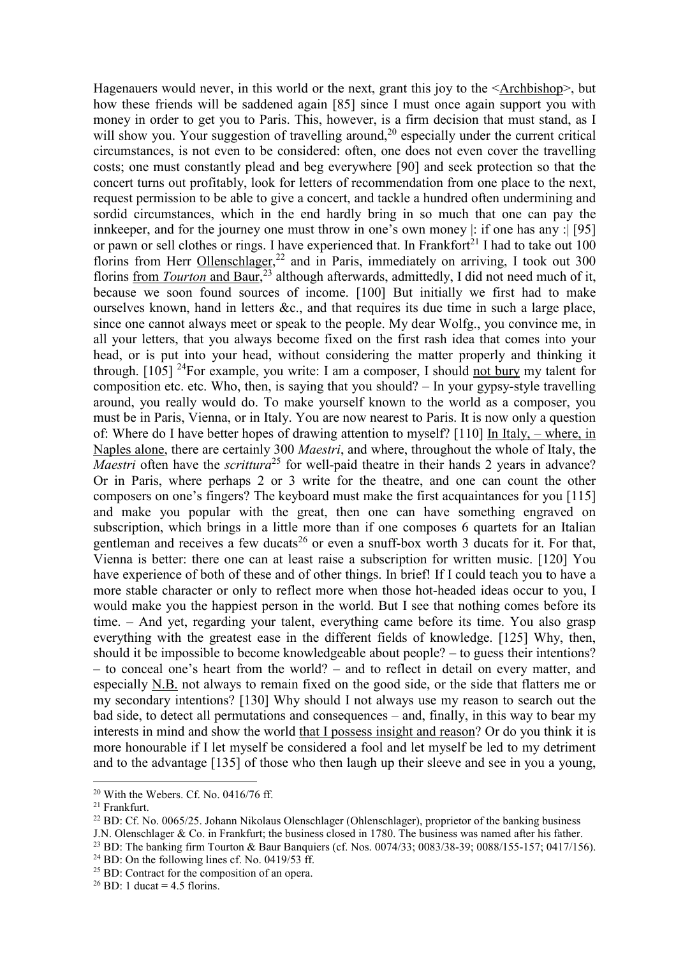Hagenauers would never, in this world or the next, grant this joy to the <Archbishop>, but how these friends will be saddened again [85] since I must once again support you with money in order to get you to Paris. This, however, is a firm decision that must stand, as I will show you. Your suggestion of travelling around, $20$  especially under the current critical circumstances, is not even to be considered: often, one does not even cover the travelling costs; one must constantly plead and beg everywhere [90] and seek protection so that the concert turns out profitably, look for letters of recommendation from one place to the next, request permission to be able to give a concert, and tackle a hundred often undermining and sordid circumstances, which in the end hardly bring in so much that one can pay the innkeeper, and for the journey one must throw in one's own money |: if one has any :| [95] or pawn or sell clothes or rings. I have experienced that. In Frankfort<sup>21</sup> I had to take out  $100$ florins from Herr Ollenschlager,<sup>22</sup> and in Paris, immediately on arriving, I took out 300 florins from *Tourton* and Baur,<sup>23</sup> although afterwards, admittedly, I did not need much of it, because we soon found sources of income. [100] But initially we first had to make ourselves known, hand in letters &c., and that requires its due time in such a large place, since one cannot always meet or speak to the people. My dear Wolfg., you convince me, in all your letters, that you always become fixed on the first rash idea that comes into your head, or is put into your head, without considering the matter properly and thinking it through.  $[105]$  <sup>24</sup>For example, you write: I am a composer, I should not bury my talent for composition etc. etc. Who, then, is saying that you should? – In your gypsy-style travelling around, you really would do. To make yourself known to the world as a composer, you must be in Paris, Vienna, or in Italy. You are now nearest to Paris. It is now only a question of: Where do I have better hopes of drawing attention to myself? [110] In Italy, – where, in Naples alone, there are certainly 300 *Maestri*, and where, throughout the whole of Italy, the *Maestri* often have the *scrittura*<sup>25</sup> for well-paid theatre in their hands 2 years in advance? Or in Paris, where perhaps 2 or 3 write for the theatre, and one can count the other composers on one's fingers? The keyboard must make the first acquaintances for you [115] and make you popular with the great, then one can have something engraved on subscription, which brings in a little more than if one composes 6 quartets for an Italian gentleman and receives a few ducats<sup>26</sup> or even a snuff-box worth 3 ducats for it. For that, Vienna is better: there one can at least raise a subscription for written music. [120] You have experience of both of these and of other things. In brief! If I could teach you to have a more stable character or only to reflect more when those hot-headed ideas occur to you, I would make you the happiest person in the world. But I see that nothing comes before its time. – And yet, regarding your talent, everything came before its time. You also grasp everything with the greatest ease in the different fields of knowledge. [125] Why, then, should it be impossible to become knowledgeable about people? – to guess their intentions? – to conceal one's heart from the world? – and to reflect in detail on every matter, and especially N.B. not always to remain fixed on the good side, or the side that flatters me or my secondary intentions? [130] Why should I not always use my reason to search out the bad side, to detect all permutations and consequences – and, finally, in this way to bear my interests in mind and show the world that I possess insight and reason? Or do you think it is more honourable if I let myself be considered a fool and let myself be led to my detriment and to the advantage [135] of those who then laugh up their sleeve and see in you a young,

 $\overline{a}$ 

 $24$  BD: On the following lines cf. No. 0419/53 ff.

 $20$  With the Webers. Cf. No. 0416/76 ff.

<sup>21</sup> Frankfurt.

<sup>&</sup>lt;sup>22</sup> BD: Cf. No. 0065/25. Johann Nikolaus Olenschlager (Ohlenschlager), proprietor of the banking business

J.N. Olenschlager & Co. in Frankfurt; the business closed in 1780. The business was named after his father.

<sup>23</sup> BD: The banking firm Tourton & Baur Banquiers (cf. Nos. 0074/33; 0083/38-39; 0088/155-157; 0417/156).

<sup>&</sup>lt;sup>25</sup> BD: Contract for the composition of an opera.

<sup>&</sup>lt;sup>26</sup> BD: 1 ducat = 4.5 florins.